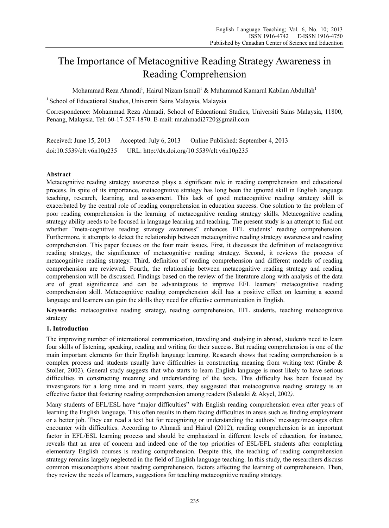# The Importance of Metacognitive Reading Strategy Awareness in Reading Comprehension

Mohammad Reza Ahmadi<sup>1</sup>, Hairul Nizam Ismail<sup>1</sup> & Muhammad Kamarul Kabilan Abdullah<sup>1</sup>

<sup>1</sup> School of Educational Studies, Universiti Sains Malaysia, Malaysia

Correspondence: Mohammad Reza Ahmadi, School of Educational Studies, Universiti Sains Malaysia, 11800, Penang, Malaysia. Tel: 60-17-527-1870. E-mail: mr.ahmadi2720@gmail.com

Received: June 15, 2013 Accepted: July 6, 2013 Online Published: September 4, 2013 doi:10.5539/elt.v6n10p235 URL: http://dx.doi.org/10.5539/elt.v6n10p235

# **Abstract**

Metacognitive reading strategy awareness plays a significant role in reading comprehension and educational process. In spite of its importance, metacognitive strategy has long been the ignored skill in English language teaching, research, learning, and assessment. This lack of good metacognitive reading strategy skill is exacerbated by the central role of reading comprehension in education success. One solution to the problem of poor reading comprehension is the learning of metacognitive reading strategy skills. Metacognitive reading strategy ability needs to be focused in language learning and teaching. The present study is an attempt to find out whether "meta-cognitive reading strategy awareness" enhances EFL students' reading comprehension. Furthermore, it attempts to detect the relationship between metacognitive reading strategy awareness and reading comprehension. This paper focuses on the four main issues. First, it discusses the definition of metacognitive reading strategy, the significance of metacognitive reading strategy. Second, it reviews the process of metacognitive reading strategy. Third, definition of reading comprehension and different models of reading comprehension are reviewed. Fourth, the relationship between metacognitive reading strategy and reading comprehension will be discussed. Findings based on the review of the literature along with analysis of the data are of great significance and can be advantageous to improve EFL learners' metacognitive reading comprehension skill. Metacognitive reading comprehension skill has a positive effect on learning a second language and learners can gain the skills they need for effective communication in English.

**Keywords:** metacognitive reading strategy, reading comprehension, EFL students, teaching metacognitive strategy

# **1. Introduction**

The improving number of international communication, traveling and studying in abroad, students need to learn four skills of listening, speaking, reading and writing for their success. But reading comprehension is one of the main important elements for their English language learning. Research shows that reading comprehension is a complex process and students usually have difficulties in constructing meaning from writing text (Grabe  $\&$ Stoller, 2002). General study suggests that who starts to learn English language is most likely to have serious difficulties in constructing meaning and understanding of the texts. This difficulty has been focused by investigators for a long time and in recent years, they suggested that metacognitive reading strategy is an effective factor that fostering reading comprehension among readers (Salataki & Akyel, 2002*).* 

Many students of EFL/ESL have "major difficulties" with English reading comprehension even after years of learning the English language. This often results in them facing difficulties in areas such as finding employment or a better job. They can read a text but for recognizing or understanding the authors' message/messages often encounter with difficulties. According to Ahmadi and Hairul (2012), reading comprehension is an important factor in EFL/ESL learning process and should be emphasized in different levels of education, for instance, reveals that an area of concern and indeed one of the top priorities of ESL/EFL students after completing elementary English courses is reading comprehension. Despite this, the teaching of reading comprehension strategy remains largely neglected in the field of English language teaching. In this study, the researchers discuss common misconceptions about reading comprehension, factors affecting the learning of comprehension. Then, they review the needs of learners, suggestions for teaching metacognitive reading strategy.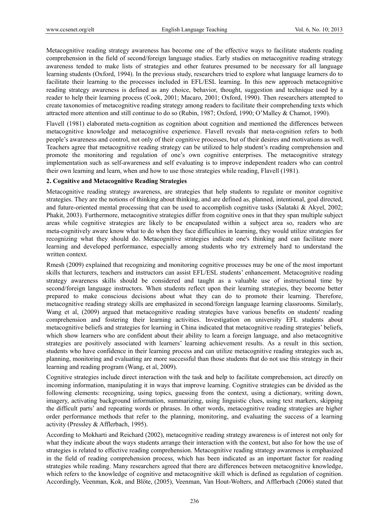Metacognitive reading strategy awareness has become one of the effective ways to facilitate students reading comprehension in the field of second/foreign language studies. Early studies on metacognitive reading strategy awareness tended to make lists of strategies and other features presumed to be necessary for all language learning students (Oxford, 1994). In the previous study, researchers tried to explore what language learners do to facilitate their learning to the processes included in EFL/ESL learning. In this new approach metacognitive reading strategy awareness is defined as any choice, behavior, thought, suggestion and technique used by a reader to help their learning process (Cook, 2001; Macaro, 2001; Oxford, 1990). Then researchers attempted to create taxonomies of metacognitive reading strategy among readers to facilitate their comprehending texts which attracted more attention and still continue to do so (Rubin, 1987; Oxford, 1990; O'Malley & Chamot, 1990).

Flavell (1981) elaborated meta-cognition as cognition about cognition and mentioned the differences between metacognitive knowledge and metacognitive experience. Flavell reveals that meta-cognition refers to both people's awareness and control, not only of their cognitive processes, but of their desires and motivations as well. Teachers agree that metacognitive reading strategy can be utilized to help student's reading comprehension and promote the monitoring and regulation of one's own cognitive enterprises. The metacognitive strategy implementation such as self-awareness and self evaluating is to improve independent readers who can control their own learning and learn, when and how to use those strategies while reading, Flavell (1981).

# **2. Cognitive and Metacognitive Reading Strategies**

Metacognitive reading strategy awareness, are strategies that help students to regulate or monitor cognitive strategies. They are the notions of thinking about thinking, and are defined as, planned, intentional, goal directed, and future-oriented mental processing that can be used to accomplish cognitive tasks (Salataki & Akyel, 2002; Phakit, 2003). Furthermore, metacognitive strategies differ from cognitive ones in that they span multiple subject areas while cognitive strategies are likely to be encapsulated within a subject area so, readers who are meta-cognitively aware know what to do when they face difficulties in learning, they would utilize strategies for recognizing what they should do. Metacognitive strategies indicate one's thinking and can facilitate more learning and developed performance, especially among students who try extremely hard to understand the written context.

Rmesh (2009) explained that recognizing and monitoring cognitive processes may be one of the most important skills that lecturers, teachers and instructors can assist EFL/ESL students' enhancement. Metacognitive reading strategy awareness skills should be considered and taught as a valuable use of instructional time by second/foreign language instructors. When students reflect upon their learning strategies, they become better prepared to make conscious decisions about what they can do to promote their learning. Therefore, metacognitive reading strategy skills are emphasized in second/foreign language learning classrooms. Similarly, Wang et al, (2009) argued that metacognitive reading strategies have various benefits on students' reading comprehension and fostering their learning activities. Investigation on university EFL students about metacognitive beliefs and strategies for learning in China indicated that metacognitive reading strategies' beliefs, which show learners who are confident about their ability to learn a foreign language, and also metacognitive strategies are positively associated with learners' learning achievement results. As a result in this section, students who have confidence in their learning process and can utilize metacognitive reading strategies such as, planning, monitoring and evaluating are more successful than those students that do not use this strategy in their learning and reading program (Wang, et al, 2009).

Cognitive strategies include direct interaction with the task and help to facilitate comprehension, act directly on incoming information, manipulating it in ways that improve learning. Cognitive strategies can be divided as the following elements: recognizing, using topics, guessing from the context, using a dictionary, writing down, imagery, activating background information, summarizing, using linguistic clues, using text markers, skipping the difficult parts' and repeating words or phrases. In other words, metacognitive reading strategies are higher order performance methods that refer to the planning, monitoring, and evaluating the success of a learning activity (Pressley & Afflerbach, 1995).

According to Mokharti and Reichard (2002), metacognitive reading strategy awareness is of interest not only for what they indicate about the ways students arrange their interaction with the context, but also for how the use of strategies is related to effective reading comprehension. Metacognitive reading strategy awareness is emphasized in the field of reading comprehension process, which has been indicated as an important factor for reading strategies while reading. Many researchers agreed that there are differences between metacognitive knowledge, which refers to the knowledge of cognitive and metacognitive skill which is defined as regulation of cognition. Accordingly, Veenman, Kok, and Blöte, (2005), Veenman, Van Hout-Wolters, and Afflerbach (2006) stated that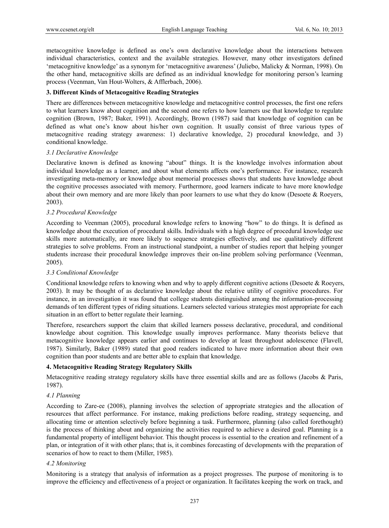metacognitive knowledge is defined as one's own declarative knowledge about the interactions between individual characteristics, context and the available strategies. However, many other investigators defined 'metacognitive knowledge' as a synonym for 'metacognitive awareness' (Juliebo, Malicky & Norman, 1998). On the other hand, metacognitive skills are defined as an individual knowledge for monitoring person's learning process (Veenman, Van Hout-Wolters, & Afflerbach, 2006).

# **3. Different Kinds of Metacognitive Reading Strategies**

There are differences between metacognitive knowledge and metacognitive control processes, the first one refers to what learners know about cognition and the second one refers to how learners use that knowledge to regulate cognition (Brown, 1987; Baker, 1991). Accordingly, Brown (1987) said that knowledge of cognition can be defined as what one's know about his/her own cognition. It usually consist of three various types of metacognitive reading strategy awareness: 1) declarative knowledge, 2) procedural knowledge, and 3) conditional knowledge.

# *3.1 Declarative Knowledge*

Declarative known is defined as knowing "about" things. It is the knowledge involves information about individual knowledge as a learner, and about what elements affects one's performance. For instance, research investigating meta-memory or knowledge about memorial processes shows that students have knowledge about the cognitive processes associated with memory. Furthermore, good learners indicate to have more knowledge about their own memory and are more likely than poor learners to use what they do know (Desoete & Roeyers, 2003).

# *3.2 Procedural Knowledge*

According to Veenman (2005), procedural knowledge refers to knowing "how" to do things. It is defined as knowledge about the execution of procedural skills. Individuals with a high degree of procedural knowledge use skills more automatically, are more likely to sequence strategies effectively, and use qualitatively different strategies to solve problems. From an instructional standpoint, a number of studies report that helping younger students increase their procedural knowledge improves their on-line problem solving performance (Veenman, 2005).

# *3.3 Conditional Knowledge*

Conditional knowledge refers to knowing when and why to apply different cognitive actions (Desoete & Roeyers, 2003). It may be thought of as declarative knowledge about the relative utility of cognitive procedures. For instance, in an investigation it was found that college students distinguished among the information-processing demands of ten different types of riding situations. Learners selected various strategies most appropriate for each situation in an effort to better regulate their learning.

Therefore, researchers support the claim that skilled learners possess declarative, procedural, and conditional knowledge about cognition. This knowledge usually improves performance. Many theorists believe that metacognitive knowledge appears earlier and continues to develop at least throughout adolescence (Flavell, 1987). Similarly, Baker (1989) stated that good readers indicated to have more information about their own cognition than poor students and are better able to explain that knowledge.

# **4. Metacognitive Reading Strategy Regulatory Skills**

Metacognitive reading strategy regulatory skills have three essential skills and are as follows (Jacobs & Paris, 1987).

# *4.1 Planning*

According to Zare-ee (2008), planning involves the selection of appropriate strategies and the allocation of resources that affect performance. For instance, making predictions before reading, strategy sequencing, and allocating time or attention selectively before beginning a task. Furthermore, planning (also called forethought) is the process of thinking about and organizing the activities required to achieve a desired goal. Planning is a fundamental property of intelligent behavior. This thought process is essential to the creation and refinement of a plan, or integration of it with other plans; that is, it combines forecasting of developments with the preparation of scenarios of how to react to them (Miller, 1985).

# *4.2 Monitoring*

Monitoring is a strategy that analysis of information as a project progresses. The purpose of monitoring is to improve the efficiency and effectiveness of a project or organization. It facilitates keeping the work on track, and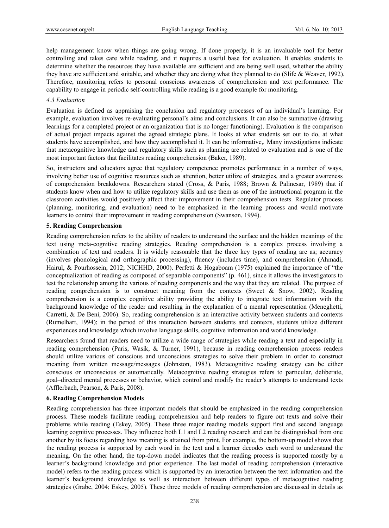help management know when things are going wrong. If done properly, it is an invaluable tool for better controlling and takes care while reading, and it requires a useful base for evaluation. It enables students to determine whether the resources they have available are sufficient and are being well used, whether the ability they have are sufficient and suitable, and whether they are doing what they planned to do (Slife & Weaver, 1992). Therefore, monitoring refers to personal conscious awareness of comprehension and text performance. The capability to engage in periodic self-controlling while reading is a good example for monitoring.

# *4.3 Evaluation*

Evaluation is defined as appraising the conclusion and regulatory processes of an individual's learning. For example, evaluation involves re-evaluating personal's aims and conclusions. It can also be summative (drawing learnings for a completed project or an organization that is no longer functioning). Evaluation is the comparison of actual project impacts against the agreed strategic plans. It looks at what students set out to do, at what students have accomplished, and how they accomplished it. It can be informative,*.* Many investigations indicate that metacognitive knowledge and regulatory skills such as planning are related to evaluation and is one of the most important factors that facilitates reading comprehension (Baker, 1989).

So, instructors and educators agree that regulatory competence promotes performance in a number of ways, involving better use of cognitive resources such as attention, better utilize of strategies, and a greater awareness of comprehension breakdowns. Researchers stated (Cross, & Paris, 1988; Brown & Palincsar, 1989) that if students know when and how to utilize regulatory skills and use them as one of the instructional program in the classroom activities would positively affect their improvement in their comprehension tests. Regulator process (planning, monitoring, and evaluation) need to be emphasized in the learning process and would motivate learners to control their improvement in reading comprehension (Swanson, 1994).

#### **5. Reading Comprehension**

Reading comprehension refers to the ability of readers to understand the surface and the hidden meanings of the text using meta-cognitive reading strategies. Reading comprehension is a complex process involving a combination of text and readers. It is widely reasonable that the three key types of reading are as; accuracy (involves phonological and orthographic processing), fluency (includes time), and comprehension (Ahmadi, Hairul, & Pourhossein, 2012; NICHHD, 2000). Perfetti & Hogaboam (1975) explained the importance of "the conceptualization of reading as composed of separable components" (p. 461), since it allows the investigators to test the relationship among the various of reading components and the way that they are related. The purpose of reading comprehension is to construct meaning from the contexts (Sweet & Snow, 2002). Reading comprehension is a complex cognitive ability providing the ability to integrate text information with the background knowledge of the reader and resulting in the explanation of a mental representation (Meneghetti, Carretti, & De Beni, 2006). So, reading comprehension is an interactive activity between students and contexts (Rumelhart, 1994); in the period of this interaction between students and contexts, students utilize different experiences and knowledge which involve language skills, cognitive information and world knowledge.

Researchers found that readers need to utilize a wide range of strategies while reading a text and especially in reading comprehension (Paris, Wasik, & Turner, 1991), because in reading comprehension process readers should utilize various of conscious and unconscious strategies to solve their problem in order to construct meaning from written message/messages (Johnston, 1983). Metacognitive reading strategy can be either conscious or unconscious or automatically. Metacognitive reading strategies refers to particular, deliberate, goal–directed mental processes or behavior, which control and modify the reader's attempts to understand texts (Afflerbach, Pearson, & Paris, 2008).

# **6. Reading Comprehension Models**

Reading comprehension has three important models that should be emphasized in the reading comprehension process. These models facilitate reading comprehension and help readers to figure out texts and solve their problems while reading (Eskey, 2005). These three major reading models support first and second language learning cognitive processes. They influence both L1 and L2 reading research and can be distinguished from one another by its focus regarding how meaning is attained from print. For example, the bottom-up model shows that the reading process is supported by each word in the text and a learner decodes each word to understand the meaning. On the other hand, the top-down model indicates that the reading process is supported mostly by a learner's background knowledge and prior experience. The last model of reading comprehension (interactive model) refers to the reading process which is supported by an interaction between the text information and the learner's background knowledge as well as interaction between different types of metacognitive reading strategies (Grabe, 2004; Eskey, 2005). These three models of reading comprehension are discussed in details as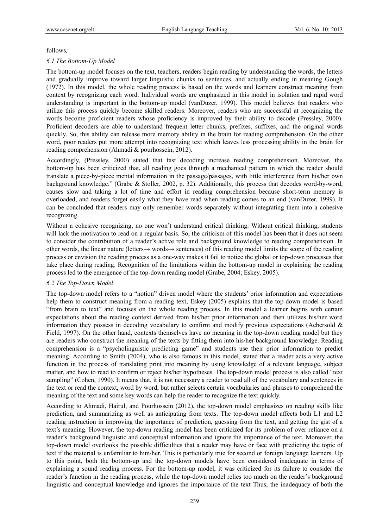follows*;*

#### *6.1 The Bottom-Up Model*

The bottom-up model focuses on the text, teachers, readers begin reading by understanding the words, the letters and gradually improve toward larger linguistic chunks to sentences, and actually ending in meaning Gough (1972). In this model, the whole reading process is based on the words and learners construct meaning from context by recognizing each word. Individual words are emphasized in this model in isolation and rapid word understanding is important in the bottom-up model (vanDuzer, 1999). This model believes that readers who utilize this process quickly become skilled readers. Moreover, readers who are successful at recognizing the words become proficient readers whose proficiency is improved by their ability to decode (Pressley, 2000). Proficient decoders are able to understand frequent letter chunks, prefixes, suffixes, and the original words quickly. So, this ability can release more memory ability in the brain for reading comprehension. On the other word, poor readers put more attempt into recognizing text which leaves less processing ability in the brain for reading comprehension (Ahmadi & pourhossein, 2012).

Accordingly, (Pressley, 2000) stated that fast decoding increase reading comprehension. Moreover, the bottom-up has been criticized that, all reading goes through a mechanical pattern in which the reader should translate a piece-by-piece mental information in the passage/passages, with little interference from his/her own background knowledge." (Grabe & Stoller, 2002, p. 32). Additionally, this process that decodes word-by-word, causes slow and taking a lot of time and effort in reading comprehension because short-term memory is overloaded, and readers forget easily what they have read when reading comes to an end (vanDuzer, 1999). It can be concluded that readers may only remember words separately without integrating them into a cohesive recognizing.

Without a cohesive recognizing, no one won't understand critical thinking. Without critical thinking, students will lack the motivation to read on a regular basis. So, the criticism of this model has been that it does not seem to consider the contribution of a reader's active role and background knowledge to reading comprehension. In other words, the linear nature (letters→ words→ sentences) of this reading model limits the scope of the reading process or envision the reading process as a one-way makes it fail to notice the global or top-down processes that take place during reading. Recognition of the limitations within the bottom-up model in explaining the reading process led to the emergence of the top-down reading model (Grabe, 2004; Eskey, 2005).

# *6.2 The Top-Down Model*

The top-down model refers to a "notion" driven model where the students' prior information and expectations help them to construct meaning from a reading text, Eskey (2005) explains that the top-down model is based "from brain to text" and focuses on the whole reading process. In this model a learner begins with certain expectations about the reading context derived from his/her prior information and then utilizes his/her word information they possess in decoding vocabulary to confirm and modify previous expectations (Aebersold  $\&$ Field, 1997). On the other hand, contexts themselves have no meaning in the top-down reading model but they are readers who construct the meaning of the texts by fitting them into his/her background knowledge. Reading comprehension is a "psycholinguistic predicting game" and students use their prior information to predict meaning. According to Smith (2004), who is also famous in this model, stated that a reader acts a very active function in the process of translating print into meaning by using knowledge of a relevant language, subject matter, and how to read to confirm or reject his/her hypotheses. The top-down model process is also called "text sampling" (Cohen, 1990). It means that, it is not necessary a reader to read all of the vocabulary and sentences in the text or read the context, word by word, but rather selects certain vocabularies and phrases to comprehend the meaning of the text and some key words can help the reader to recognize the text quickly.

According to Ahmadi, Hairul, and Pourhossein (2012), the top-down model emphasizes on reading skills like prediction, and summarizing as well as anticipating from texts. The top-down model affects both L1 and L2 reading instruction in improving the importance of prediction, guessing from the text, and getting the gist of a text's meaning. However, the top-down reading model has been criticized for its problem of over reliance on a reader's background linguistic and conceptual information and ignore the importance of the text. Moreover, the top-down model overlooks the possible difficulties that a reader may have or face with predicting the topic of text if the material is unfamiliar to him/her. This is particularly true for second or foreign language learners. Up to this point, both the bottom-up and the top-down models have been considered inadequate in terms of explaining a sound reading process. For the bottom-up model, it was criticized for its failure to consider the reader's function in the reading process, while the top-down model relies too much on the reader's background linguistic and conceptual knowledge and ignores the importance of the text Thus, the inadequacy of both the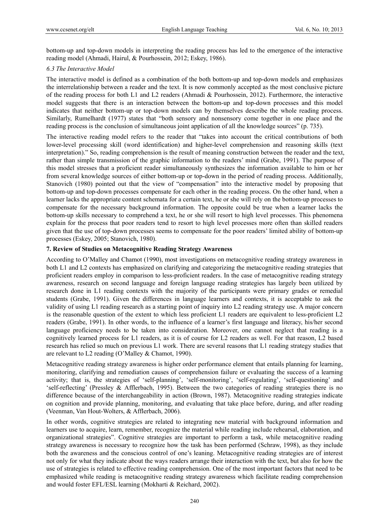bottom-up and top-down models in interpreting the reading process has led to the emergence of the interactive reading model (Ahmadi, Hairul, & Pourhossein, 2012; Eskey, 1986).

# *6.3 The Interactive Model*

The interactive model is defined as a combination of the both bottom-up and top-down models and emphasizes the interrelationship between a reader and the text. It is now commonly accepted as the most conclusive picture of the reading process for both L1 and L2 readers (Ahmadi & Pourhossein, 2012). Furthermore, the interactive model suggests that there is an interaction between the bottom-up and top-down processes and this model indicates that neither bottom-up or top-down models can by themselves describe the whole reading process. Similarly, Rumelhardt (1977) states that "both sensory and nonsensory come together in one place and the reading process is the conclusion of simultaneous joint application of all the knowledge sources" (p. 735).

The interactive reading model refers to the reader that "takes into account the critical contributions of both lower-level processing skill (word identification) and higher-level comprehension and reasoning skills (text interpretation)." So, reading comprehension is the result of meaning construction between the reader and the text, rather than simple transmission of the graphic information to the readers' mind (Grabe, 1991). The purpose of this model stresses that a proficient reader simultaneously synthesizes the information available to him or her from several knowledge sources of either bottom-up or top-down in the period of reading process. Additionally, Stanovich (1980) pointed out that the view of "compensation" into the interactive model by proposing that bottom-up and top-down processes compensate for each other in the reading process. On the other hand, when a learner lacks the appropriate content schemata for a certain text, he or she will rely on the bottom-up processes to compensate for the necessary background information. The opposite could be true when a learner lacks the bottom-up skills necessary to comprehend a text, he or she will resort to high level processes. This phenomena explain for the process that poor readers tend to resort to high level processes more often than skilled readers given that the use of top-down processes seems to compensate for the poor readers' limited ability of bottom-up processes (Eskey, 2005; Stanovich, 1980).

# **7. Review of Studies on Metacognitive Reading Strategy Awareness**

According to O'Malley and Chamot (1990), most investigations on metacognitive reading strategy awareness in both L1 and L2 contexts has emphasized on clarifying and categorizing the metacognitive reading strategies that proficient readers employ in comparison to less-proficient readers. In the case of metacognitive reading strategy awareness, research on second language and foreign language reading strategies has largely been utilized by research done in L1 reading contexts with the majority of the participants were primary grades or remedial students (Grabe, 1991). Given the differences in language learners and contexts, it is acceptable to ask the validity of using L1 reading research as a starting point of inquiry into L2 reading strategy use. A major concern is the reasonable question of the extent to which less proficient L1 readers are equivalent to less-proficient L2 readers (Grabe, 1991). In other words, to the influence of a learner's first language and literacy, his/her second language proficiency needs to be taken into consideration. Moreover, one cannot neglect that reading is a cognitively learned process for L1 readers, as it is of course for L2 readers as well. For that reason, L2 based research has relied so much on previous L1 work. There are several reasons that L1 reading strategy studies that are relevant to L2 reading (O'Malley & Chamot, 1990).

Metacognitive reading strategy awareness is higher order performance element that entails planning for learning, monitoring, clarifying and remediation causes of comprehension failure or evaluating the success of a learning activity; that is, the strategies of 'self-planning', 'self-monitoring', 'self-regulating', 'self-questioning' and 'self-reflecting' (Pressley & Afflerbach, 1995). Between the two categories of reading strategies there is no difference because of the interchangeability in action (Brown, 1987). Metacognitive reading strategies indicate on cognition and provide planning, monitoring, and evaluating that take place before, during, and after reading (Veenman, Van Hout-Wolters, & Afflerbach, 2006).

In other words, cognitive strategies are related to integrating new material with background information and learners use to acquire, learn, remember, recognize the material while reading include rehearsal, elaboration, and organizational strategies". Cognitive strategies are important to perform a task, while metacognitive reading strategy awareness is necessary to recognize how the task has been performed (Schraw, 1998), as they include both the awareness and the conscious control of one's leaning. Metacognitive reading strategies are of interest not only for what they indicate about the ways readers arrange their interaction with the text, but also for how the use of strategies is related to effective reading comprehension. One of the most important factors that need to be emphasized while reading is metacognitive reading strategy awareness which facilitate reading comprehension and would foster EFL/ESL learning (Mokharti & Reichard, 2002).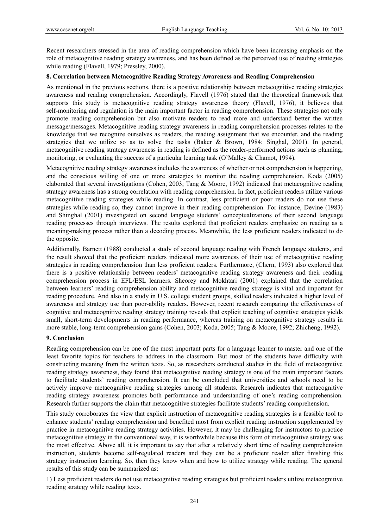Recent researchers stressed in the area of reading comprehension which have been increasing emphasis on the role of metacognitive reading strategy awareness, and has been defined as the perceived use of reading strategies while reading (Flavell, 1979; Pressley, 2000).

# **8. Correlation between Metacognitive Reading Strategy Awareness and Reading Comprehension**

As mentioned in the previous sections, there is a positive relationship between metacognitive reading strategies awareness and reading comprehension. Accordingly, Flavell (1976) stated that the theoretical framework that supports this study is metacognitive reading strategy awareness theory (Flavell, 1976), it believes that self-monitoring and regulation is the main important factor in reading comprehension. These strategies not only promote reading comprehension but also motivate readers to read more and understand better the written message/messages. Metacognitive reading strategy awareness in reading comprehension processes relates to the knowledge that we recognize ourselves as readers, the reading assignment that we encounter, and the reading strategies that we utilize so as to solve the tasks (Baker & Brown, 1984; Singhal, 2001). In general, metacognitive reading strategy awareness in reading is defined as the reader-performed actions such as planning, monitoring, or evaluating the success of a particular learning task (O'Malley & Chamot, 1994).

Metacognitive reading strategy awareness includes the awareness of whether or not comprehension is happening, and the conscious willing of one or more strategies to monitor the reading comprehension. Koda (2005) elaborated that several investigations (Cohen, 2003; Tang & Moore, 1992) indicated that metacognitive reading strategy awareness has a strong correlation with reading comprehension. In fact, proficient readers utilize various metacognitive reading strategies while reading. In contrast, less proficient or poor readers do not use these strategies while reading so, they cannot improve in their reading comprehension. For instance, Devine (1983) and Shinghal (2001) investigated on second language students' conceptualizations of their second language reading processes through interviews. The results explored that proficient readers emphasize on reading as a meaning-making process rather than a decoding process. Meanwhile, the less proficient readers indicated to do the opposite.

Additionally, Barnett (1988) conducted a study of second language reading with French language students, and the result showed that the proficient readers indicated more awareness of their use of metacognitive reading strategies in reading comprehension than less proficient readers. Furthermore, (Chern, 1993) also explored that there is a positive relationship between readers' metacognitive reading strategy awareness and their reading comprehension process in EFL/ESL learners. Sheorey and Mokhtari (2001) explained that the correlation between learners' reading comprehension ability and metacognitive reading strategy is vital and important for reading procedure. And also in a study in U.S. college student groups, skilled readers indicated a higher level of awareness and strategy use than poor-ability readers. However, recent research comparing the effectiveness of cognitive and metacognitive reading strategy training reveals that explicit teaching of cognitive strategies yields small, short-term developments in reading performance, whereas training on metacognitive strategy results in more stable, long-term comprehension gains (Cohen, 2003; Koda, 2005; Tang & Moore, 1992; Zhicheng, 1992).

#### **9. Conclusion**

Reading comprehension can be one of the most important parts for a language learner to master and one of the least favorite topics for teachers to address in the classroom. But most of the students have difficulty with constructing meaning from the written texts. So, as researchers conducted studies in the field of metacognitive reading strategy awareness, they found that metacognitive reading strategy is one of the main important factors to facilitate students' reading comprehension. It can be concluded that universities and schools need to be actively improve metacognitive reading strategies among all students. Research indicates that metacognitive reading strategy awareness promotes both performance and understanding of one's reading comprehension. Research further supports the claim that metacognitive strategies facilitate students' reading comprehension.

This study corroborates the view that explicit instruction of metacognitive reading strategies is a feasible tool to enhance students' reading comprehension and benefited most from explicit reading instruction supplemented by practice in metacognitive reading strategy activities. However, it may be challenging for instructors to practice metacognitive strategy in the conventional way, it is worthwhile because this form of metacognitive strategy was the most effective. Above all, it is important to say that after a relatively short time of reading comprehension instruction, students become self-regulated readers and they can be a proficient reader after finishing this strategy instruction learning. So, then they know when and how to utilize strategy while reading. The general results of this study can be summarized as:

1) Less proficient readers do not use metacognitive reading strategies but proficient readers utilize metacognitive reading strategy while reading texts.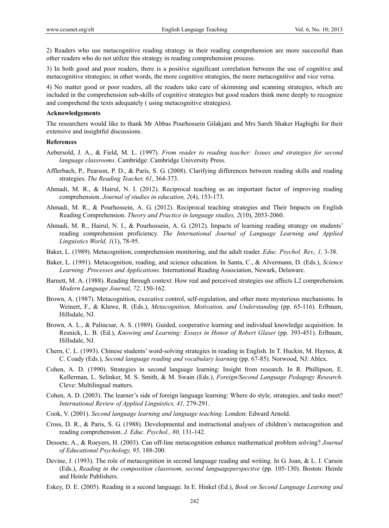2) Readers who use metacognitive reading strategy in their reading comprehension are more successful than other readers who do not utilize this strategy in reading comprehension process.

3) In both good and poor readers, there is a positive significant correlation between the use of cognitive and metacognitive strategies; in other words, the more cognitive strategies, the more metacognitive and vice versa.

4) No matter good or poor readers, all the readers take care of skimming and scanning strategies, which are included in the comprehension sub-skills of cognitive strategies but good readers think more deeply to recognize and comprehend the texts adequately ( using metacognitive strategies).

#### **Acknowledgements**

The researchers would like to thank Mr Abbas Pourhossein Gilakjani and Mrs Sareh Shaker Haghighi for their extensive and insightful discussions.

# **References**

- Aebersold, J. A., & Field, M. L. (1997). *From reader to reading teacher: Issues and strategies for second language classrooms*. Cambridge: Cambridge University Press.
- Afflerbach, P., Pearson, P. D., & Paris, S. G. (2008). Clarifying differences between reading skills and reading strategies. *The Reading Teacher, 61*, 364-373.
- Ahmadi, M. R., & Hairul, N. I. (2012). Reciprocal teaching as an important factor of improving reading comprehension. *Journal of studies in education, 2*(4), 153-173.
- Ahmadi, M. R., & Pourhossein, A. G. (2012). Reciprocal teaching strategies and Their Impacts on English Reading Comprehension. *Theory and Practice in language studies, 2*(10), 2053-2060.
- Ahmadi, M. R., Hairul, N. I., & Pourhossein, A. G. (2012). Impacts of learning reading strategy on students' reading comprehension proficiency. *The International Journal of Language Learning and Applied Linguistics World, 1*(1), 78-95.
- Baker, L. (1989). Metacognition, comprehension monitoring, and the adult reader. *Educ. Psychol. Rev., 1,* 3-38.
- Baker, L. (1991). Metacognition, reading, and science education. In Santa, C., & Alvermann, D. (Eds.), *Science Learning: Processes and Applications.* International Reading Association, Newark, Delaware.
- Barnett, M. A. (1988). Reading through context: How real and perceived strategies use affects L2 comprehension. *Modern Language Journal, 72,* 150-162.
- Brown, A. (1987). Metacognition, executive control, self-regulation, and other more mysterious mechanisms. In Weinert, F., & Kluwe, R. (Eds.), *Metacognition, Motivation, and Understanding* (pp. 65-116). Erlbaum, Hillsdale, NJ.
- Brown, A. L., & Palincsar, A. S. (1989). Guided, cooperative learning and individual knowledge acquisition. In Resnick, L. B. (Ed.), *Knowing and Learning: Essays in Honor of Robert Glaser* (pp. 393-451). Erlbaum, Hillsdale, NJ.
- Chern, C. L. (1993). Chinese students' word-solving strategies in reading in English. In T. Huckin, M. Haynes, & C. Coady (Eds.), *Second language reading and vocabulary learning* (pp. 67-85). Norwood, NJ: Ablex.
- Cohen, A. D. (1990). Strategies in second language learning: Insight from research. In R. Phillipson, E. Kellerman, L. Selinker, M. S. Smith, & M. Swain (Eds.), *Foreign/Second Language Pedagogy Research*. Cleve: Multilingual matters.
- Cohen, A. D. (2003). The learner's side of foreign language learning: Where do style, strategies, and tasks meet? *International Review of Applied Linguistics, 41,* 279-291.
- Cook, V. (2001). *Second language learning and language teaching.* London: Edward Arnold.
- Cross, D. R., & Paris, S. G. (1988). Developmental and instructional analyses of children's metacognition and reading comprehension. *J. Educ. Psychol., 80,* 131-142.
- Desoete, A., & Roeyers, H. (2003). Can off-line metacognition enhance mathematical problem solving? *Journal of Educational Psychology, 95,* 188-200.
- Devine, J. (1993). The role of metacognition in second language reading and writing. In G. Joan, & L. I. Carson (Eds.), *Reading in the composition classroom, second languageperspective* (pp. 105-130). Boston: Heinle and Heinle Publishers.
- Eskey, D. E. (2005). Reading in a second language. In E. Hinkel (Ed.), *Book on Second Language Learning and*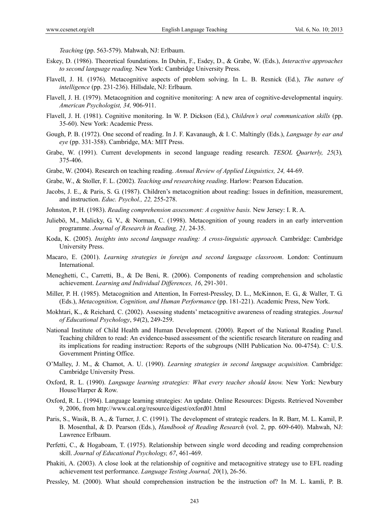*Teaching* (pp. 563-579). Mahwah, NJ: Erlbaum.

- Eskey, D. (1986). Theoretical foundations. In Dubin, F., Esdey, D., & Grabe, W. (Eds.), *Interactive approaches to second language reading*. New York: Cambridge University Press.
- Flavell, J. H. (1976). Metacognitive aspects of problem solving. In L. B. Resnick (Ed.), *The nature of intelligence* (pp. 231-236). Hillsdale, NJ: Erlbaum.
- Flavell, J. H. (1979). Metacognition and cognitive monitoring: A new area of cognitive-developmental inquiry. *American Psychologist, 34,* 906-911.
- Flavell, J. H. (1981). Cognitive monitoring. In W. P. Dickson (Ed.), *Children's oral communication skills* (pp. 35-60). New York: Academic Press.
- Gough, P. B. (1972). One second of reading. In J. F. Kavanaugh, & I. C. Maltingly (Eds.), *Language by ear and eye* (pp. 331-358). Cambridge, MA: MIT Press.
- Grabe, W. (1991). Current developments in second language reading research. *TESOL Quarterly, 25*(3)*,*  375-406.
- Grabe, W. (2004). Research on teaching reading. *Annual Review of Applied Linguistics, 24,* 44-69.
- Grabe, W., & Stoller, F. L. (2002). *Teaching and researching reading*. Harlow: Pearson Education.
- Jacobs, J. E., & Paris, S. G. (1987). Children's metacognition about reading: Issues in definition, measurement, and instruction. *Educ. Psychol., 22,* 255-278.
- Johnston, P. H. (1983). *Reading comprehension assessment: A cognitive basis.* New Jersey: I. R. A.
- Juliebö, M., Malicky, G. V., & Norman, C. (1998). Metacognition of young readers in an early intervention programme. *Journal of Research in Reading, 21,* 24-35.
- Koda, K. (2005). *Insights into second language reading: A cross-linguistic approach.* Cambridge: Cambridge University Press.
- Macaro, E. (2001). *Learning strategies in foreign and second language classroom*. London: Continuum International.
- Meneghetti, C., Carretti, B., & De Beni, R. (2006). Components of reading comprehension and scholastic achievement. *Learning and Individual Differences, 16*, 291-301.
- Miller, P. H. (1985). Metacognition and Attention, In Forrest-Pressley, D. L., McKinnon, E. G., & Waller, T. G. (Eds.), *Metacognition, Cognition, and Human Performance* (pp. 181-221). Academic Press, New York.
- Mokhtari, K., & Reichard*,* C. (2002). Assessing students' metacognitive awareness of reading strategies. *Journal of Educational Psychology*, *94*(2), 249-259.
- National Institute of Child Health and Human Development. (2000). Report of the National Reading Panel. Teaching children to read: An evidence-based assessment of the scientific research literature on reading and its implications for reading instruction: Reports of the subgroups (NIH Publication No. 00-4754). C: U.S. Government Printing Office.
- O'Malley, J. M., & Chamot, A. U. (1990). *Learning strategies in second language acquisition.* Cambridge: Cambridge University Press.
- Oxford, R. L. (1990). *Language learning strategies: What every teacher should know.* New York: Newbury House/Harper & Row.
- Oxford, R. L. (1994). Language learning strategies: An update. Online Resources: Digests. Retrieved November 9, 2006, from http://www.cal.org/resource/digest/oxford01.html
- Paris, S., Wasik, B. A., & Turner, J. C. (1991). The development of strategic readers. In R. Barr, M. L. Kamil, P. B. Mosenthal, & D. Pearson (Eds.), *Handbook of Reading Research* (vol. 2, pp. 609-640). Mahwah, NJ: Lawrence Erlbaum.
- Perfetti, C., & Hogaboam, T. (1975). Relationship between single word decoding and reading comprehension skill. *Journal of Educational Psychology, 67*, 461-469.
- Phakiti, A. (2003). A close look at the relationship of cognitive and metacognitive strategy use to EFL reading achievement test performance. *Language Testing Journal, 20*(1), 26-56.
- Pressley, M. (2000). What should comprehension instruction be the instruction of? In M. L. kamli, P. B.